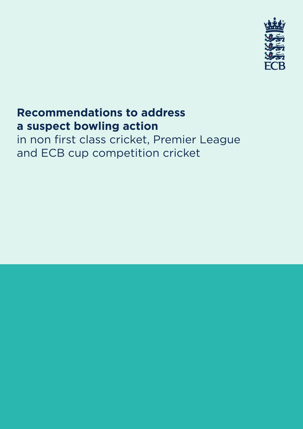

# **Recommendations to address a suspect bowling action**

in non first class cricket, Premier League and ECB cup competition cricket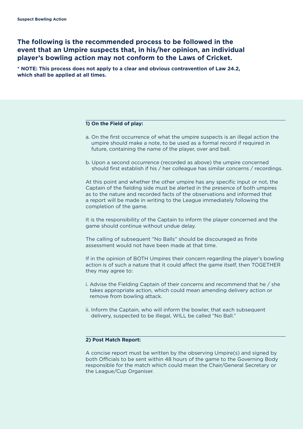# **The following is the recommended process to be followed in the event that an Umpire suspects that, in his/her opinion, an individual player's bowling action may not conform to the Laws of Cricket.**

**\* NOTE: This process does not apply to a clear and obvious contravention of Law 24.2, which shall be applied at all times.**

## **1) On the Field of play:**

- a. On the first occurrence of what the umpire suspects is an illegal action the umpire should make a note, to be used as a formal record if required in future, containing the name of the player, over and ball.
- b. Upon a second occurrence (recorded as above) the umpire concerned should first establish if his / her colleague has similar concerns / recordings.

At this point and whether the other umpire has any specific input or not, the Captain of the fielding side must be alerted in the presence of both umpires as to the nature and recorded facts of the observations and informed that a report will be made in writing to the League immediately following the completion of the game.

It is the responsibility of the Captain to inform the player concerned and the game should continue without undue delay.

The calling of subsequent "No Balls" should be discouraged as finite assessment would not have been made at that time.

If in the opinion of BOTH Umpires their concern regarding the player's bowling action is of such a nature that it could affect the game itself, then TOGETHER they may agree to:

- i. Advise the Fielding Captain of their concerns and recommend that he / she takes appropriate action, which could mean amending delivery action or remove from bowling attack.
- ii. Inform the Captain, who will inform the bowler, that each subsequent delivery, suspected to be illegal, WILL be called "No Ball."

# **2) Post Match Report:**

A concise report must be written by the observing Umpire(s) and signed by both Officials to be sent within 48 hours of the game to the Governing Body responsible for the match which could mean the Chair/General Secretary or the League/Cup Organiser.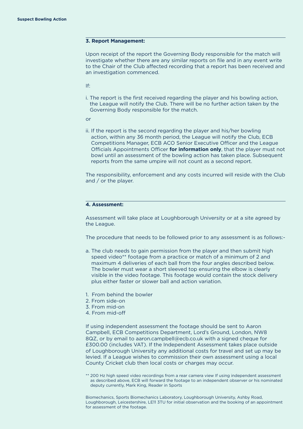#### **3. Report Management:**

Upon receipt of the report the Governing Body responsible for the match will investigate whether there are any similar reports on file and in any event write to the Chair of the Club affected recording that a report has been received and an investigation commenced.

If:

- i. The report is the first received regarding the player and his bowling action, the League will notify the Club. There will be no further action taken by the Governing Body responsible for the match.
- or
- ii. If the report is the second regarding the player and his/her bowling action, within any 36 month period, the League will notify the Club, ECB Competitions Manager, ECB ACO Senior Executive Officer and the League Officials Appointments Officer **for information only**, that the player must not bowl until an assessment of the bowling action has taken place. Subsequent reports from the same umpire will not count as a second report.

The responsibility, enforcement and any costs incurred will reside with the Club and / or the player.

# **4. Assessment:**

Assessment will take place at Loughborough University or at a site agreed by the League.

The procedure that needs to be followed prior to any assessment is as follows:-

- a. The club needs to gain permission from the player and then submit high speed video\*\* footage from a practice or match of a minimum of 2 and maximum 4 deliveries of each ball from the four angles described below. The bowler must wear a short sleeved top ensuring the elbow is clearly visible in the video footage. This footage would contain the stock delivery plus either faster or slower ball and action variation.
- 1. From behind the bowler
- 2. From side-on
- 3. From mid-on
- 4. From mid-off

If using independent assessment the footage should be sent to Aaron Campbell, ECB Competitions Department, Lord's Ground, London, NW8 8QZ, or by email to aaron.campbell@ecb.co.uk with a signed cheque for £300.00 (includes VAT). If the Independent Assessment takes place outside of Loughborough University any additional costs for travel and set up may be levied. If a League wishes to commission their own assessment using a local County Cricket club then local costs or charges may occur.

\*\* 200 Hz high speed video recordings from a rear camera view If using independent assessment as described above, ECB will forward the footage to an independent observer or his nominated deputy currently, Mark King, Reader in Sports

Biomechanics, Sports Biomechanics Laboratory, Loughborough University, Ashby Road, Loughborough, Leicestershire, LE11 3TU for initial observation and the booking of an appointment for assessment of the footage.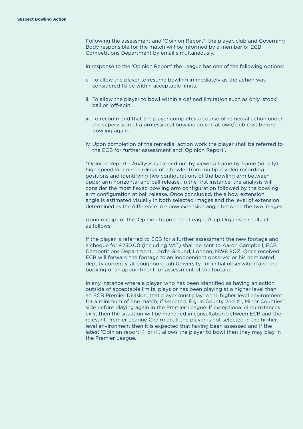Following the assessment and 'Opinion Report\*' the player, club and Governing Body responsible for the match will be informed by a member of ECB Competitions Department by email simultaneously.

In response to the 'Opinion Report' the League has one of the following options:

- i. To allow the player to resume bowling immediately as the action was considered to be within acceptable limits.
- ii. To allow the player to bowl within a defined limitation such as only 'stock' ball or 'off-spin'.
- iii. To recommend that the player completes a course of remedial action under the supervision of a professional bowling coach, at own/club cost before bowling again.
- iv. Upon completion of the remedial action work the player shall be referred to the ECB for further assessment and 'Opinion Report'.

\*Opinion Report - Analysis is carried out by viewing frame by frame (ideally) high speed video recordings of a bowler from multiple video recording positions and identifying two configurations of the bowling arm between upper arm horizontal and ball release. In the first instance, the analysis will consider the most flexed bowling arm configuration followed by the bowling arm configuration at ball release. Once concluded, the elbow extension angle is estimated visually in both selected images and the level of extension determined as the difference in elbow extension angle between the two images.

Upon receipt of the 'Opinion Report' the League/Cup Organiser shall act as follows:

If the player is referred to ECB for a further assessment the new footage and a cheque for £250.00 (including VAT) shall be sent to Aaron Campbell, ECB Competitions Department, Lord's Ground, London, NW8 8QZ. Once received ECB will forward the footage to an independent observer or his nominated deputy currently, at Loughborough University, for initial observation and the booking of an appointment for assessment of the footage.

In any instance where a player, who has been identified as having an action outside of acceptable limits, plays or has been playing at a higher level than an ECB Premier Division, that player must play in the higher level environment for a minimum of one match, if selected. E.g. in County 2nd X1, Minor Counties' side before playing again in the Premier League. If exceptional circumstances exist then the situation will be managed in consultation between ECB and the relevant Premier League Chairman, If the player is not selected in the higher level environment then it is expected that having been assessed and if the latest 'Opinion report' (i or ii ) allows the player to bowl then they may play in the Premier League.